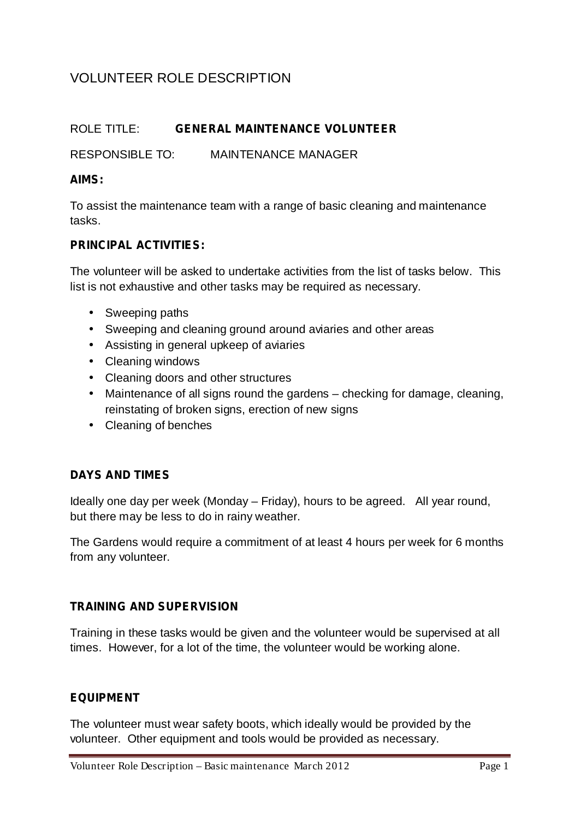# VOLUNTEER ROLE DESCRIPTION

#### $ROI$  F TITLE: **GENERAL MAINTENANCE VOLUNTEER**

RESPONSIBLE TO: MAINTENANCE MANAGER

#### **AIMS:**

To assist the maintenance team with a range of basic cleaning and maintenance tasks.

#### **PRINCIPAL ACTIVITIES:**

The volunteer will be asked to undertake activities from the list of tasks below. This list is not exhaustive and other tasks may be required as necessary.

- Sweeping paths
- Sweeping and cleaning ground around aviaries and other areas
- Assisting in general upkeep of aviaries •
- Cleaning windows
- Cleaning doors and other structures
- Maintenance of all signs round the gardens checking for damage, cleaning, reinstating of broken signs, erection of new signs
- Cleaning of benches

### **DAYS AND TIMES**

Ideally one day per week (Monday – Friday), hours to be agreed. All year round, but there may be less to do in rainy weather.

The Gardens would require a commitment of at least 4 hours per week for 6 months from any volunteer.

### **TRAINING AND SUPERVISION**

Training in these tasks would be given and the volunteer would be supervised at all times. However, for a lot of the time, the volunteer would be working alone.

### **EQUIPMENT**

The volunteer must wear safety boots, which ideally would be provided by the volunteer. Other equipment and tools would be provided as necessary.